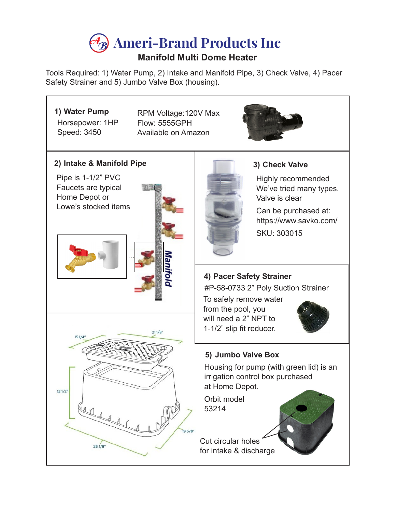## **Ameri-Brand Products Inc**

## **Manifold Multi Dome Heater**

Tools Required: 1) Water Pump, 2) Intake and Manifold Pipe, 3) Check Valve, 4) Pacer Safety Strainer and 5) Jumbo Valve Box (housing).